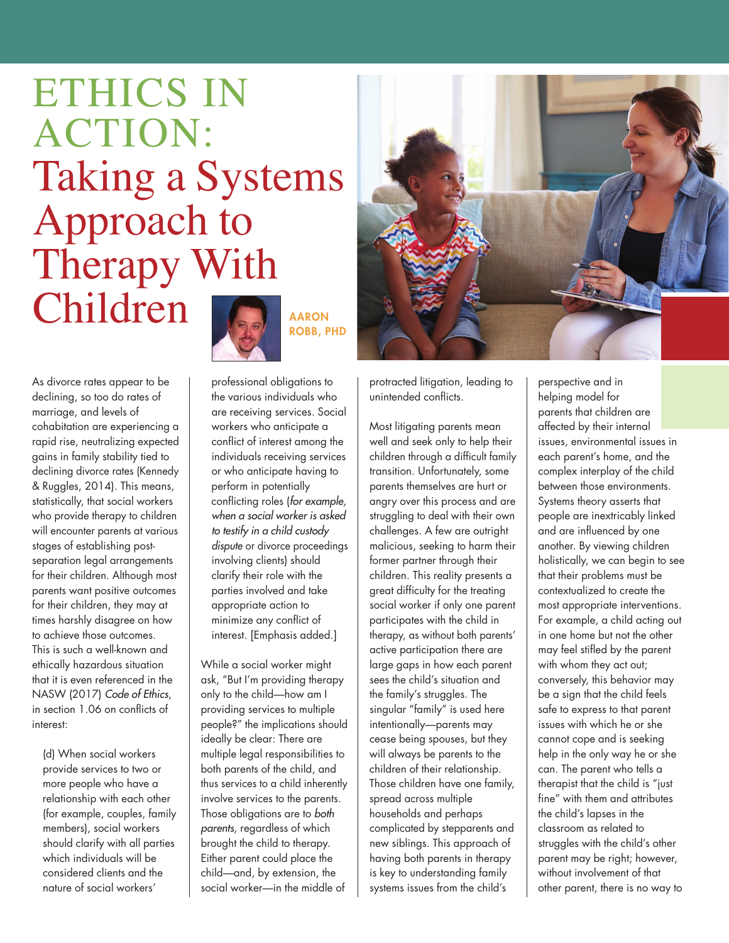## ETHICS IN ACTION: Taking a Systems Approach to Therapy With Children **A**

As divorce rates appear to be declining, so too do rates of marriage, and levels of cohabitation are experiencing a rapid rise, neutralizing expected gains in family stability tied to declining divorce rates (Kennedy & Ruggles, 2014). This means, statistically, that social workers who provide therapy to children will encounter parents at various stages of establishing postseparation legal arrangements for their children. Although most parents want positive outcomes for their children, they may at times harshly disagree on how to achieve those outcomes. This is such a well-known and ethically hazardous situation that it is even referenced in the NASW (2017) *Code of Ethics*, in section 1.06 on conflicts of interest:

(d) When social workers provide services to two or more people who have a relationship with each other (for example, couples, family members), social workers should clarify with all parties which individuals will be considered clients and the nature of social workers'



**ROBB, PHD**

professional obligations to the various individuals who are receiving services. Social workers who anticipate a conflict of interest among the individuals receiving services or who anticipate having to perform in potentially conflicting roles (*for example, when a social worker is asked to testify in a child custody dispute* or divorce proceedings involving clients) should clarify their role with the parties involved and take appropriate action to minimize any conflict of interest. [Emphasis added.]

While a social worker might ask, "But I'm providing therapy only to the child—how am I providing services to multiple people?" the implications should ideally be clear: There are multiple legal responsibilities to both parents of the child, and thus services to a child inherently involve services to the parents. Those obligations are to *both parents*, regardless of which brought the child to therapy. Either parent could place the child—and, by extension, the social worker—in the middle of



protracted litigation, leading to unintended conflicts.

Most litigating parents mean well and seek only to help their children through a difficult family transition. Unfortunately, some parents themselves are hurt or angry over this process and are struggling to deal with their own challenges. A few are outright malicious, seeking to harm their former partner through their children. This reality presents a great difficulty for the treating social worker if only one parent participates with the child in therapy, as without both parents' active participation there are large gaps in how each parent sees the child's situation and the family's struggles. The singular "family" is used here intentionally—parents may cease being spouses, but they will always be parents to the children of their relationship. Those children have one family, spread across multiple households and perhaps complicated by stepparents and new siblings. This approach of having both parents in therapy is key to understanding family systems issues from the child's

perspective and in helping model for parents that children are affected by their internal issues, environmental issues in each parent's home, and the complex interplay of the child between those environments. Systems theory asserts that people are inextricably linked and are influenced by one another. By viewing children holistically, we can begin to see that their problems must be contextualized to create the most appropriate interventions. For example, a child acting out in one home but not the other may feel stifled by the parent with whom they act out; conversely, this behavior may be a sign that the child feels safe to express to that parent issues with which he or she cannot cope and is seeking help in the only way he or she can. The parent who tells a therapist that the child is "just fine" with them and attributes the child's lapses in the classroom as related to struggles with the child's other parent may be right; however, without involvement of that other parent, there is no way to